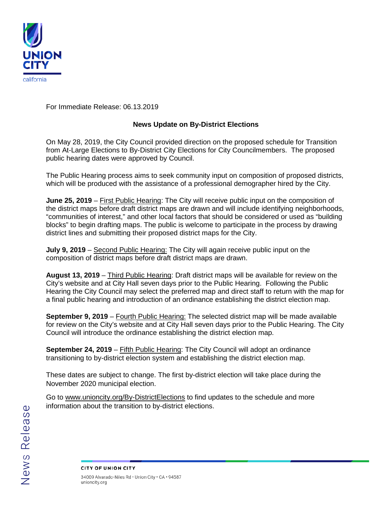

For Immediate Release: 06.13.2019

## **News Update on By-District Elections**

On May 28, 2019, the City Council provided direction on the proposed schedule for Transition from At-Large Elections to By-District City Elections for City Councilmembers. The proposed public hearing dates were approved by Council.

The Public Hearing process aims to seek community input on composition of proposed districts, which will be produced with the assistance of a professional demographer hired by the City.

**June 25, 2019** – First Public Hearing: The City will receive public input on the composition of the district maps before draft district maps are drawn and will include identifying neighborhoods, "communities of interest," and other local factors that should be considered or used as "building blocks" to begin drafting maps. The public is welcome to participate in the process by drawing district lines and submitting their proposed district maps for the City.

**July 9, 2019** – Second Public Hearing: The City will again receive public input on the composition of district maps before draft district maps are drawn.

**August 13, 2019** – Third Public Hearing: Draft district maps will be available for review on the City's website and at City Hall seven days prior to the Public Hearing. Following the Public Hearing the City Council may select the preferred map and direct staff to return with the map for a final public hearing and introduction of an ordinance establishing the district election map.

**September 9, 2019** – Fourth Public Hearing: The selected district map will be made available for review on the City's website and at City Hall seven days prior to the Public Hearing. The City Council will introduce the ordinance establishing the district election map.

**September 24, 2019** – Fifth Public Hearing: The City Council will adopt an ordinance transitioning to by-district election system and establishing the district election map.

These dates are subject to change. The first by-district election will take place during the November 2020 municipal election.

Go to [www.unioncity.org/By-DistrictElections](http://www.unioncity.org/By-DistrictElections) to find updates to the schedule and more information about the transition to by-district elections.

CITY OF UNION CITY 34009 Alvarado-Niles Rd . Union City . CA . 94587 unioncity.org